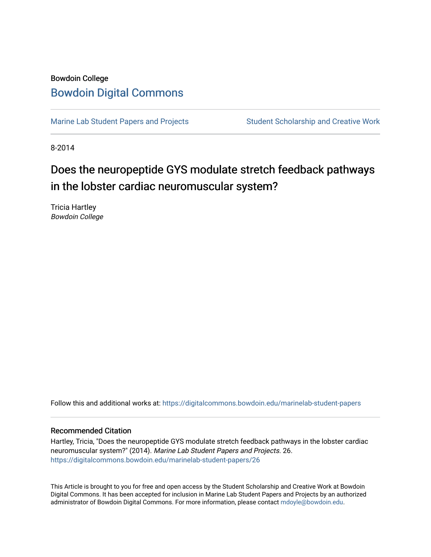## Bowdoin College [Bowdoin Digital Commons](https://digitalcommons.bowdoin.edu/)

[Marine Lab Student Papers and Projects](https://digitalcommons.bowdoin.edu/marinelab-student-papers) Student Scholarship and Creative Work

8-2014

## Does the neuropeptide GYS modulate stretch feedback pathways in the lobster cardiac neuromuscular system?

Tricia Hartley Bowdoin College

Follow this and additional works at: [https://digitalcommons.bowdoin.edu/marinelab-student-papers](https://digitalcommons.bowdoin.edu/marinelab-student-papers?utm_source=digitalcommons.bowdoin.edu%2Fmarinelab-student-papers%2F26&utm_medium=PDF&utm_campaign=PDFCoverPages) 

## Recommended Citation

Hartley, Tricia, "Does the neuropeptide GYS modulate stretch feedback pathways in the lobster cardiac neuromuscular system?" (2014). Marine Lab Student Papers and Projects. 26. [https://digitalcommons.bowdoin.edu/marinelab-student-papers/26](https://digitalcommons.bowdoin.edu/marinelab-student-papers/26?utm_source=digitalcommons.bowdoin.edu%2Fmarinelab-student-papers%2F26&utm_medium=PDF&utm_campaign=PDFCoverPages) 

This Article is brought to you for free and open access by the Student Scholarship and Creative Work at Bowdoin Digital Commons. It has been accepted for inclusion in Marine Lab Student Papers and Projects by an authorized administrator of Bowdoin Digital Commons. For more information, please contact [mdoyle@bowdoin.edu.](mailto:mdoyle@bowdoin.edu)